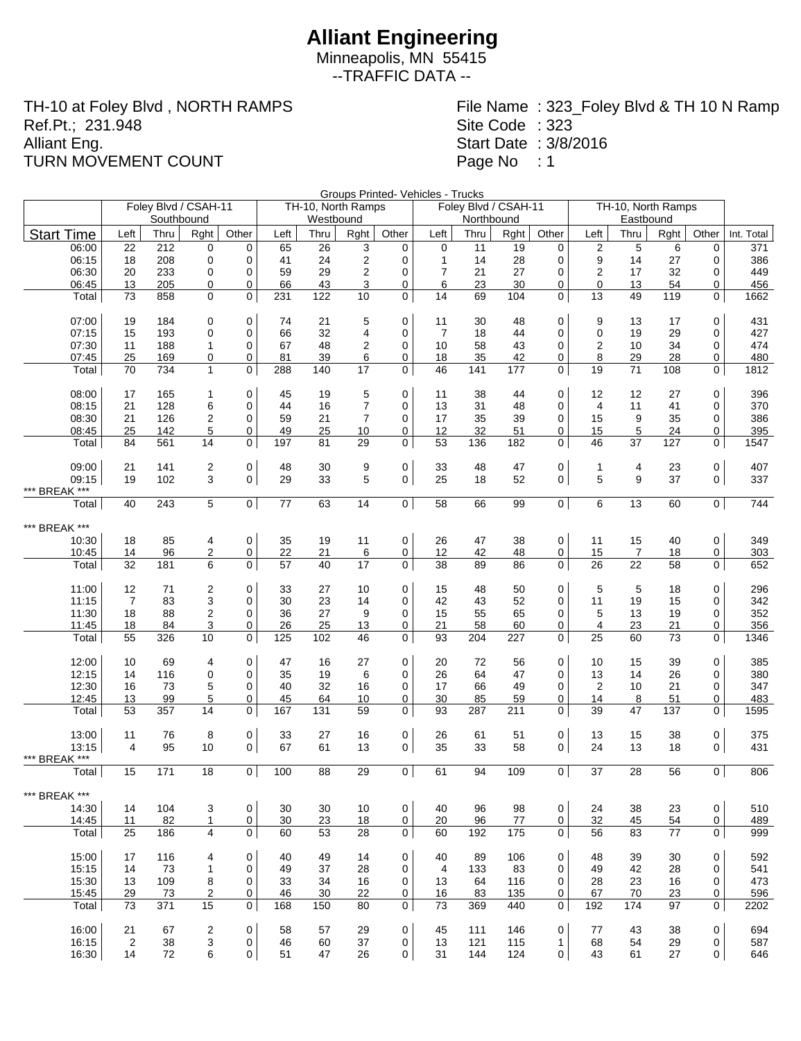Minneapolis, MN 55415 --TRAFFIC DATA --

TH-10 at Foley Blvd , NORTH RAMPS Ref.Pt.; 231.948 Alliant Eng. TURN MOVEMENT COUNT

File Name : 323\_Foley Blvd & TH 10 N Ramp Site Code : 323 Start Date : 3/8/2016 Page No : 1

Groups Printed- Vehicles - Trucks

| Southbound<br>Westbound<br>Northbound<br>Eastbound<br>Other<br>Other<br>Left<br><b>Start Time</b><br>Left<br>Rght<br>Left<br>Other<br>Left<br>Rght<br>Other<br>Thru<br>Thru<br>Rght<br>Thru<br>Thru<br>Rght<br>Int. Total<br>212<br>$\overline{2}$<br>5<br>06:00<br>0<br>$\mathbf 0$<br>65<br>26<br>3<br>0<br>$\mathbf 0$<br>11<br>19<br>$\mathbf 0$<br>6<br>0<br>371<br>22<br>208<br>$\mathbf 0$<br>24<br>$\overline{c}$<br>$\mathbf{1}$<br>28<br>9<br>06:15<br>18<br>0<br>41<br>0<br>14<br>0<br>14<br>27<br>0<br>386<br>$\overline{2}$<br>06:30<br>20<br>233<br>$\mathbf 0$<br>59<br>29<br>$\overline{7}$<br>21<br>27<br>0<br>$\overline{2}$<br>17<br>32<br>449<br>0<br>0<br>0<br>66<br>43<br>3<br>6<br>23<br>06:45<br>13<br>205<br>0<br>0<br>0<br>30<br>0<br>0<br>13<br>54<br>456<br>0<br>858<br>$\mathbf 0$<br>0<br>231<br>122<br>10<br>14<br>69<br>0<br>49<br>119<br>Total<br>73<br>0<br>104<br>13<br>0<br>1662<br>07:00<br>19<br>184<br>0<br>21<br>5<br>0<br>11<br>0<br>9<br>0<br>431<br>0<br>74<br>30<br>48<br>13<br>17<br>$\overline{7}$<br>07:15<br>193<br>$\mathbf 0$<br>66<br>32<br>4<br>0<br>0<br>$\mathbf 0$<br>29<br>0<br>427<br>15<br>0<br>18<br>44<br>19<br>07:30<br>188<br>67<br>48<br>$\overline{2}$<br>10<br>58<br>43<br>0<br>$\overline{2}$<br>34<br>474<br>11<br>$\mathbf{1}$<br>0<br>0<br>10<br>0<br>07:45<br>35<br>480<br>25<br>169<br>0<br>81<br>39<br>6<br>0<br>18<br>42<br>0<br>8<br>29<br>28<br>0<br>0<br>734<br>$\mathbf 0$<br>288<br>140<br>17<br>$\mathbf 0$<br>46<br>$\mathbf 0$<br>19<br>108<br>0<br>1812<br>Total<br>70<br>$\mathbf{1}$<br>141<br>177<br>71<br>08:00<br>$\mathbf 0$<br>0<br>0<br>0<br>396<br>17<br>45<br>19<br>5<br>11<br>38<br>44<br>12<br>12<br>27<br>165<br>1<br>$\overline{7}$<br>08:15<br>6<br>$\mathbf 0$<br>44<br>0<br>13<br>31<br>48<br>0<br>21<br>128<br>16<br>4<br>11<br>41<br>0<br>370<br>59<br>7<br>39<br>35<br>08:30<br>21<br>126<br>2<br>$\mathbf 0$<br>21<br>0<br>17<br>35<br>0<br>15<br>9<br>0<br>386<br>25<br>142<br>5<br>49<br>25<br>10<br>12<br>32<br>51<br>5<br>24<br>395<br>08:45<br>0<br>0<br>0<br>15<br>0<br>561<br>197<br>29<br>0<br>53<br>182<br>37<br>127<br>84<br>14<br>0<br>81<br>136<br>0<br>46<br>0<br>1547<br>Total<br>0<br>0<br>09:00<br>$\mathbf 0$<br>9<br>0<br>407<br>21<br>141<br>2<br>48<br>30<br>33<br>48<br>47<br>4<br>1<br>23<br>3<br>29<br>5<br>0<br>5<br>9<br>09:15<br>19<br>102<br>$\mathbf 0$<br>33<br>$\overline{0}$<br>25<br>52<br>37<br>$\overline{0}$<br>337<br>18<br>*** BREAK ***<br>5<br> 0 <br>14<br>$\overline{0}$<br>58<br>0 <sup>1</sup><br>0 <sup>1</sup><br>744<br>40<br>243<br>77<br>63<br>66<br>99<br>6<br>13<br>60<br>Total<br>*** BREAK ***<br>$\mathbf 0$<br>0<br>10:30<br>85<br>$\mathbf 0$<br>35<br>19<br>11<br>26<br>47<br>38<br>0<br>11<br>15<br>349<br>18<br>4<br>40<br>2<br>22<br>96<br>0<br>21<br>6<br>0<br>12<br>42<br>48<br>0<br>15<br>18<br>303<br>10:45<br>14<br>7<br>0<br>40<br>32<br>6<br>0<br>57<br>17<br>38<br>89<br>86<br>0<br>26<br>22<br>58<br>Total<br>181<br>0<br>0<br>652<br>5<br>11:00<br>12<br>71<br>2<br>$\mathbf 0$<br>33<br>27<br>10<br>0<br>15<br>48<br>50<br>0<br>5<br>0<br>296<br>18<br>11:15<br>$\overline{7}$<br>83<br>3<br>30<br>23<br>14<br>42<br>52<br>0<br>342<br>0<br>0<br>43<br>11<br>19<br>15<br>0<br>2<br>11:30<br>88<br>0<br>36<br>27<br>9<br>15<br>55<br>65<br>0<br>5<br>13<br>19<br>352<br>18<br>0<br>0<br>26<br>25<br>11:45<br>18<br>84<br>3<br>0<br>13<br>0<br>21<br>58<br>60<br>0<br>$\overline{4}$<br>23<br>21<br>0<br>356<br>$\mathbf 0$<br>125<br>46<br>$\mathbf 0$<br>93<br>0<br>25<br>Total<br>55<br>326<br>10<br>102<br>204<br>227<br>60<br>73<br>0<br>1346<br>12:00<br>69<br>$\mathbf 0$<br>47<br>0<br>20<br>72<br>56<br>0<br>0<br>385<br>10<br>4<br>16<br>27<br>10<br>15<br>39<br>12:15<br>14<br>116<br>$\mathbf 0$<br>$\mathbf 0$<br>35<br>19<br>6<br>$\mathbf 0$<br>26<br>47<br>0<br>13<br>26<br>0<br>380<br>64<br>14<br>5<br>$\mathbf 0$<br>40<br>32<br>66<br>12:30<br>16<br>73<br>16<br>0<br>17<br>49<br>0<br>2<br>10<br>21<br>0<br>347<br>5<br>99<br>45<br>64<br>10<br>0<br>30<br>85<br>59<br>14<br>12:45<br>13<br>0<br>0<br>8<br>51<br>0<br>483<br>59<br>0<br>93<br>Total<br>53<br>357<br>14<br>0<br>167<br>131<br>287<br>211<br>0<br>39<br>47<br>137<br>0<br>1595<br>13:00<br>$\mathbf 0$<br>33<br>27<br>0<br>0<br>0<br>375<br>11<br>76<br>8<br>16<br>26<br>61<br>51<br>13<br>15<br>38<br>67<br>0<br>13:15<br>$\overline{4}$<br>95<br>10<br>$\overline{0}$<br>61<br>13<br>0<br>35<br>33<br>58<br>24<br>13<br>18<br>$\overline{0}$<br>431<br>*** BREAK ***<br>$\overline{0}$<br>$\overline{0}$<br>61<br>0 <sup>1</sup><br>$\overline{0}$<br>806<br>15<br>171<br>18<br>100<br>88<br>29<br>94<br>109<br>37<br>28<br>56<br>Total<br>BREAK ***<br>***<br>0<br>98<br>0<br>510<br>14:30<br>104<br>3<br>0<br>30<br>30<br>40<br>96<br>0<br>24<br>38<br>23<br>14<br>10<br>14:45<br>11<br>82<br>0<br>30<br>23<br>0<br>20<br>96<br>77<br>0<br>32<br>45<br>54<br>0<br>$\mathbf{1}$<br>18<br>489<br>$\overline{4}$<br>$\mathbf 0$<br>$\mathbf 0$<br>$\mathbf 0$<br>Total<br>25<br>186<br>60<br>53<br>28<br>60<br>192<br>175<br>56<br>83<br>77<br>0<br>999<br>15:00<br>0<br>592<br>17<br>116<br>0<br>49<br>40<br>89<br>106<br>0<br>0<br>40<br>14<br>48<br>39<br>30<br>4<br>15:15<br>14<br>73<br>1<br>$\mathbf 0$<br>49<br>37<br>28<br>0<br>$\overline{4}$<br>133<br>83<br>0<br>49<br>42<br>28<br>0<br>541<br>15:30<br>34<br>13<br>23<br>16<br>473<br>13<br>109<br>8<br>0<br>33<br>16<br>0<br>64<br>116<br>0<br>28<br>0<br>15:45<br>22<br>0<br>16<br>83<br>0<br>70<br>0<br>596<br>29<br>73<br>2<br>0<br>46<br>30<br>135<br>67<br>23<br>15<br>$\mathbf 0$<br>Total<br>73<br>371<br>0<br>168<br>150<br>80<br>73<br>369<br>440<br>0<br>192<br>174<br>97<br>0<br>2202<br>$\mathbf 0$<br>0<br>0<br>0<br>694<br>16:00<br>21<br>67<br>2<br>58<br>57<br>29<br>45<br>111<br>146<br>77<br>43<br>38<br>16:15<br>0<br>46<br>0<br>$\mathbf{1}$<br>0<br>587<br>$\overline{2}$<br>38<br>3<br>60<br>37<br>13<br>121<br>115<br>68<br>54<br>29<br>6<br>$\mathbf 0$<br>$\mathbf 0$<br>16:30<br>14<br>72<br>51<br>0<br>31<br>144<br>124<br>43<br>61<br>27<br>0<br>646<br>47<br>26 | Foley Blvd / CSAH-11 |  |  |  | TH-10, North Ramps |  |  | Foley Blvd / CSAH-11 | TH-10, North Ramps |  |  |  |
|--------------------------------------------------------------------------------------------------------------------------------------------------------------------------------------------------------------------------------------------------------------------------------------------------------------------------------------------------------------------------------------------------------------------------------------------------------------------------------------------------------------------------------------------------------------------------------------------------------------------------------------------------------------------------------------------------------------------------------------------------------------------------------------------------------------------------------------------------------------------------------------------------------------------------------------------------------------------------------------------------------------------------------------------------------------------------------------------------------------------------------------------------------------------------------------------------------------------------------------------------------------------------------------------------------------------------------------------------------------------------------------------------------------------------------------------------------------------------------------------------------------------------------------------------------------------------------------------------------------------------------------------------------------------------------------------------------------------------------------------------------------------------------------------------------------------------------------------------------------------------------------------------------------------------------------------------------------------------------------------------------------------------------------------------------------------------------------------------------------------------------------------------------------------------------------------------------------------------------------------------------------------------------------------------------------------------------------------------------------------------------------------------------------------------------------------------------------------------------------------------------------------------------------------------------------------------------------------------------------------------------------------------------------------------------------------------------------------------------------------------------------------------------------------------------------------------------------------------------------------------------------------------------------------------------------------------------------------------------------------------------------------------------------------------------------------------------------------------------------------------------------------------------------------------------------------------------------------------------------------------------------------------------------------------------------------------------------------------------------------------------------------------------------------------------------------------------------------------------------------------------------------------------------------------------------------------------------------------------------------------------------------------------------------------------------------------------------------------------------------------------------------------------------------------------------------------------------------------------------------------------------------------------------------------------------------------------------------------------------------------------------------------------------------------------------------------------------------------------------------------------------------------------------------------------------------------------------------------------------------------------------------------------------------------------------------------------------------------------------------------------------------------------------------------------------------------------------------------------------------------------------------------------------------------------------------------------------------------------------------------------------------------------------------------------------------------------------------------------------------------------------------------------------------------------------------------------------------------------------------------------------------------------------------------------------------------------------------------------------------------------------------------------------------------------------------------------------------------------------------------------------------------------------------------------------------------------------------------------------------------------------------------------------------------------------------------------------------------------------------------------------------------------------------------------------------------------------------------------------------------------------------------------------------------------------------------------------------------------------------------------------------------------------------------------------------------------------------------------------------------------------------------------------------------------------------------------------------------------------------------------------------------------------------------------------------------------------------------------------------------------------------------------------------------------------------------------------------------------------------------|----------------------|--|--|--|--------------------|--|--|----------------------|--------------------|--|--|--|
|                                                                                                                                                                                                                                                                                                                                                                                                                                                                                                                                                                                                                                                                                                                                                                                                                                                                                                                                                                                                                                                                                                                                                                                                                                                                                                                                                                                                                                                                                                                                                                                                                                                                                                                                                                                                                                                                                                                                                                                                                                                                                                                                                                                                                                                                                                                                                                                                                                                                                                                                                                                                                                                                                                                                                                                                                                                                                                                                                                                                                                                                                                                                                                                                                                                                                                                                                                                                                                                                                                                                                                                                                                                                                                                                                                                                                                                                                                                                                                                                                                                                                                                                                                                                                                                                                                                                                                                                                                                                                                                                                                                                                                                                                                                                                                                                                                                                                                                                                                                                                                                                                                                                                                                                                                                                                                                                                                                                                                                                                                                                                                                                                                                                                                                                                                                                                                                                                                                                                                                                                                                                                                                          |                      |  |  |  |                    |  |  |                      |                    |  |  |  |
|                                                                                                                                                                                                                                                                                                                                                                                                                                                                                                                                                                                                                                                                                                                                                                                                                                                                                                                                                                                                                                                                                                                                                                                                                                                                                                                                                                                                                                                                                                                                                                                                                                                                                                                                                                                                                                                                                                                                                                                                                                                                                                                                                                                                                                                                                                                                                                                                                                                                                                                                                                                                                                                                                                                                                                                                                                                                                                                                                                                                                                                                                                                                                                                                                                                                                                                                                                                                                                                                                                                                                                                                                                                                                                                                                                                                                                                                                                                                                                                                                                                                                                                                                                                                                                                                                                                                                                                                                                                                                                                                                                                                                                                                                                                                                                                                                                                                                                                                                                                                                                                                                                                                                                                                                                                                                                                                                                                                                                                                                                                                                                                                                                                                                                                                                                                                                                                                                                                                                                                                                                                                                                                          |                      |  |  |  |                    |  |  |                      |                    |  |  |  |
|                                                                                                                                                                                                                                                                                                                                                                                                                                                                                                                                                                                                                                                                                                                                                                                                                                                                                                                                                                                                                                                                                                                                                                                                                                                                                                                                                                                                                                                                                                                                                                                                                                                                                                                                                                                                                                                                                                                                                                                                                                                                                                                                                                                                                                                                                                                                                                                                                                                                                                                                                                                                                                                                                                                                                                                                                                                                                                                                                                                                                                                                                                                                                                                                                                                                                                                                                                                                                                                                                                                                                                                                                                                                                                                                                                                                                                                                                                                                                                                                                                                                                                                                                                                                                                                                                                                                                                                                                                                                                                                                                                                                                                                                                                                                                                                                                                                                                                                                                                                                                                                                                                                                                                                                                                                                                                                                                                                                                                                                                                                                                                                                                                                                                                                                                                                                                                                                                                                                                                                                                                                                                                                          |                      |  |  |  |                    |  |  |                      |                    |  |  |  |
|                                                                                                                                                                                                                                                                                                                                                                                                                                                                                                                                                                                                                                                                                                                                                                                                                                                                                                                                                                                                                                                                                                                                                                                                                                                                                                                                                                                                                                                                                                                                                                                                                                                                                                                                                                                                                                                                                                                                                                                                                                                                                                                                                                                                                                                                                                                                                                                                                                                                                                                                                                                                                                                                                                                                                                                                                                                                                                                                                                                                                                                                                                                                                                                                                                                                                                                                                                                                                                                                                                                                                                                                                                                                                                                                                                                                                                                                                                                                                                                                                                                                                                                                                                                                                                                                                                                                                                                                                                                                                                                                                                                                                                                                                                                                                                                                                                                                                                                                                                                                                                                                                                                                                                                                                                                                                                                                                                                                                                                                                                                                                                                                                                                                                                                                                                                                                                                                                                                                                                                                                                                                                                                          |                      |  |  |  |                    |  |  |                      |                    |  |  |  |
|                                                                                                                                                                                                                                                                                                                                                                                                                                                                                                                                                                                                                                                                                                                                                                                                                                                                                                                                                                                                                                                                                                                                                                                                                                                                                                                                                                                                                                                                                                                                                                                                                                                                                                                                                                                                                                                                                                                                                                                                                                                                                                                                                                                                                                                                                                                                                                                                                                                                                                                                                                                                                                                                                                                                                                                                                                                                                                                                                                                                                                                                                                                                                                                                                                                                                                                                                                                                                                                                                                                                                                                                                                                                                                                                                                                                                                                                                                                                                                                                                                                                                                                                                                                                                                                                                                                                                                                                                                                                                                                                                                                                                                                                                                                                                                                                                                                                                                                                                                                                                                                                                                                                                                                                                                                                                                                                                                                                                                                                                                                                                                                                                                                                                                                                                                                                                                                                                                                                                                                                                                                                                                                          |                      |  |  |  |                    |  |  |                      |                    |  |  |  |
|                                                                                                                                                                                                                                                                                                                                                                                                                                                                                                                                                                                                                                                                                                                                                                                                                                                                                                                                                                                                                                                                                                                                                                                                                                                                                                                                                                                                                                                                                                                                                                                                                                                                                                                                                                                                                                                                                                                                                                                                                                                                                                                                                                                                                                                                                                                                                                                                                                                                                                                                                                                                                                                                                                                                                                                                                                                                                                                                                                                                                                                                                                                                                                                                                                                                                                                                                                                                                                                                                                                                                                                                                                                                                                                                                                                                                                                                                                                                                                                                                                                                                                                                                                                                                                                                                                                                                                                                                                                                                                                                                                                                                                                                                                                                                                                                                                                                                                                                                                                                                                                                                                                                                                                                                                                                                                                                                                                                                                                                                                                                                                                                                                                                                                                                                                                                                                                                                                                                                                                                                                                                                                                          |                      |  |  |  |                    |  |  |                      |                    |  |  |  |
|                                                                                                                                                                                                                                                                                                                                                                                                                                                                                                                                                                                                                                                                                                                                                                                                                                                                                                                                                                                                                                                                                                                                                                                                                                                                                                                                                                                                                                                                                                                                                                                                                                                                                                                                                                                                                                                                                                                                                                                                                                                                                                                                                                                                                                                                                                                                                                                                                                                                                                                                                                                                                                                                                                                                                                                                                                                                                                                                                                                                                                                                                                                                                                                                                                                                                                                                                                                                                                                                                                                                                                                                                                                                                                                                                                                                                                                                                                                                                                                                                                                                                                                                                                                                                                                                                                                                                                                                                                                                                                                                                                                                                                                                                                                                                                                                                                                                                                                                                                                                                                                                                                                                                                                                                                                                                                                                                                                                                                                                                                                                                                                                                                                                                                                                                                                                                                                                                                                                                                                                                                                                                                                          |                      |  |  |  |                    |  |  |                      |                    |  |  |  |
|                                                                                                                                                                                                                                                                                                                                                                                                                                                                                                                                                                                                                                                                                                                                                                                                                                                                                                                                                                                                                                                                                                                                                                                                                                                                                                                                                                                                                                                                                                                                                                                                                                                                                                                                                                                                                                                                                                                                                                                                                                                                                                                                                                                                                                                                                                                                                                                                                                                                                                                                                                                                                                                                                                                                                                                                                                                                                                                                                                                                                                                                                                                                                                                                                                                                                                                                                                                                                                                                                                                                                                                                                                                                                                                                                                                                                                                                                                                                                                                                                                                                                                                                                                                                                                                                                                                                                                                                                                                                                                                                                                                                                                                                                                                                                                                                                                                                                                                                                                                                                                                                                                                                                                                                                                                                                                                                                                                                                                                                                                                                                                                                                                                                                                                                                                                                                                                                                                                                                                                                                                                                                                                          |                      |  |  |  |                    |  |  |                      |                    |  |  |  |
|                                                                                                                                                                                                                                                                                                                                                                                                                                                                                                                                                                                                                                                                                                                                                                                                                                                                                                                                                                                                                                                                                                                                                                                                                                                                                                                                                                                                                                                                                                                                                                                                                                                                                                                                                                                                                                                                                                                                                                                                                                                                                                                                                                                                                                                                                                                                                                                                                                                                                                                                                                                                                                                                                                                                                                                                                                                                                                                                                                                                                                                                                                                                                                                                                                                                                                                                                                                                                                                                                                                                                                                                                                                                                                                                                                                                                                                                                                                                                                                                                                                                                                                                                                                                                                                                                                                                                                                                                                                                                                                                                                                                                                                                                                                                                                                                                                                                                                                                                                                                                                                                                                                                                                                                                                                                                                                                                                                                                                                                                                                                                                                                                                                                                                                                                                                                                                                                                                                                                                                                                                                                                                                          |                      |  |  |  |                    |  |  |                      |                    |  |  |  |
|                                                                                                                                                                                                                                                                                                                                                                                                                                                                                                                                                                                                                                                                                                                                                                                                                                                                                                                                                                                                                                                                                                                                                                                                                                                                                                                                                                                                                                                                                                                                                                                                                                                                                                                                                                                                                                                                                                                                                                                                                                                                                                                                                                                                                                                                                                                                                                                                                                                                                                                                                                                                                                                                                                                                                                                                                                                                                                                                                                                                                                                                                                                                                                                                                                                                                                                                                                                                                                                                                                                                                                                                                                                                                                                                                                                                                                                                                                                                                                                                                                                                                                                                                                                                                                                                                                                                                                                                                                                                                                                                                                                                                                                                                                                                                                                                                                                                                                                                                                                                                                                                                                                                                                                                                                                                                                                                                                                                                                                                                                                                                                                                                                                                                                                                                                                                                                                                                                                                                                                                                                                                                                                          |                      |  |  |  |                    |  |  |                      |                    |  |  |  |
|                                                                                                                                                                                                                                                                                                                                                                                                                                                                                                                                                                                                                                                                                                                                                                                                                                                                                                                                                                                                                                                                                                                                                                                                                                                                                                                                                                                                                                                                                                                                                                                                                                                                                                                                                                                                                                                                                                                                                                                                                                                                                                                                                                                                                                                                                                                                                                                                                                                                                                                                                                                                                                                                                                                                                                                                                                                                                                                                                                                                                                                                                                                                                                                                                                                                                                                                                                                                                                                                                                                                                                                                                                                                                                                                                                                                                                                                                                                                                                                                                                                                                                                                                                                                                                                                                                                                                                                                                                                                                                                                                                                                                                                                                                                                                                                                                                                                                                                                                                                                                                                                                                                                                                                                                                                                                                                                                                                                                                                                                                                                                                                                                                                                                                                                                                                                                                                                                                                                                                                                                                                                                                                          |                      |  |  |  |                    |  |  |                      |                    |  |  |  |
|                                                                                                                                                                                                                                                                                                                                                                                                                                                                                                                                                                                                                                                                                                                                                                                                                                                                                                                                                                                                                                                                                                                                                                                                                                                                                                                                                                                                                                                                                                                                                                                                                                                                                                                                                                                                                                                                                                                                                                                                                                                                                                                                                                                                                                                                                                                                                                                                                                                                                                                                                                                                                                                                                                                                                                                                                                                                                                                                                                                                                                                                                                                                                                                                                                                                                                                                                                                                                                                                                                                                                                                                                                                                                                                                                                                                                                                                                                                                                                                                                                                                                                                                                                                                                                                                                                                                                                                                                                                                                                                                                                                                                                                                                                                                                                                                                                                                                                                                                                                                                                                                                                                                                                                                                                                                                                                                                                                                                                                                                                                                                                                                                                                                                                                                                                                                                                                                                                                                                                                                                                                                                                                          |                      |  |  |  |                    |  |  |                      |                    |  |  |  |
|                                                                                                                                                                                                                                                                                                                                                                                                                                                                                                                                                                                                                                                                                                                                                                                                                                                                                                                                                                                                                                                                                                                                                                                                                                                                                                                                                                                                                                                                                                                                                                                                                                                                                                                                                                                                                                                                                                                                                                                                                                                                                                                                                                                                                                                                                                                                                                                                                                                                                                                                                                                                                                                                                                                                                                                                                                                                                                                                                                                                                                                                                                                                                                                                                                                                                                                                                                                                                                                                                                                                                                                                                                                                                                                                                                                                                                                                                                                                                                                                                                                                                                                                                                                                                                                                                                                                                                                                                                                                                                                                                                                                                                                                                                                                                                                                                                                                                                                                                                                                                                                                                                                                                                                                                                                                                                                                                                                                                                                                                                                                                                                                                                                                                                                                                                                                                                                                                                                                                                                                                                                                                                                          |                      |  |  |  |                    |  |  |                      |                    |  |  |  |
|                                                                                                                                                                                                                                                                                                                                                                                                                                                                                                                                                                                                                                                                                                                                                                                                                                                                                                                                                                                                                                                                                                                                                                                                                                                                                                                                                                                                                                                                                                                                                                                                                                                                                                                                                                                                                                                                                                                                                                                                                                                                                                                                                                                                                                                                                                                                                                                                                                                                                                                                                                                                                                                                                                                                                                                                                                                                                                                                                                                                                                                                                                                                                                                                                                                                                                                                                                                                                                                                                                                                                                                                                                                                                                                                                                                                                                                                                                                                                                                                                                                                                                                                                                                                                                                                                                                                                                                                                                                                                                                                                                                                                                                                                                                                                                                                                                                                                                                                                                                                                                                                                                                                                                                                                                                                                                                                                                                                                                                                                                                                                                                                                                                                                                                                                                                                                                                                                                                                                                                                                                                                                                                          |                      |  |  |  |                    |  |  |                      |                    |  |  |  |
|                                                                                                                                                                                                                                                                                                                                                                                                                                                                                                                                                                                                                                                                                                                                                                                                                                                                                                                                                                                                                                                                                                                                                                                                                                                                                                                                                                                                                                                                                                                                                                                                                                                                                                                                                                                                                                                                                                                                                                                                                                                                                                                                                                                                                                                                                                                                                                                                                                                                                                                                                                                                                                                                                                                                                                                                                                                                                                                                                                                                                                                                                                                                                                                                                                                                                                                                                                                                                                                                                                                                                                                                                                                                                                                                                                                                                                                                                                                                                                                                                                                                                                                                                                                                                                                                                                                                                                                                                                                                                                                                                                                                                                                                                                                                                                                                                                                                                                                                                                                                                                                                                                                                                                                                                                                                                                                                                                                                                                                                                                                                                                                                                                                                                                                                                                                                                                                                                                                                                                                                                                                                                                                          |                      |  |  |  |                    |  |  |                      |                    |  |  |  |
|                                                                                                                                                                                                                                                                                                                                                                                                                                                                                                                                                                                                                                                                                                                                                                                                                                                                                                                                                                                                                                                                                                                                                                                                                                                                                                                                                                                                                                                                                                                                                                                                                                                                                                                                                                                                                                                                                                                                                                                                                                                                                                                                                                                                                                                                                                                                                                                                                                                                                                                                                                                                                                                                                                                                                                                                                                                                                                                                                                                                                                                                                                                                                                                                                                                                                                                                                                                                                                                                                                                                                                                                                                                                                                                                                                                                                                                                                                                                                                                                                                                                                                                                                                                                                                                                                                                                                                                                                                                                                                                                                                                                                                                                                                                                                                                                                                                                                                                                                                                                                                                                                                                                                                                                                                                                                                                                                                                                                                                                                                                                                                                                                                                                                                                                                                                                                                                                                                                                                                                                                                                                                                                          |                      |  |  |  |                    |  |  |                      |                    |  |  |  |
|                                                                                                                                                                                                                                                                                                                                                                                                                                                                                                                                                                                                                                                                                                                                                                                                                                                                                                                                                                                                                                                                                                                                                                                                                                                                                                                                                                                                                                                                                                                                                                                                                                                                                                                                                                                                                                                                                                                                                                                                                                                                                                                                                                                                                                                                                                                                                                                                                                                                                                                                                                                                                                                                                                                                                                                                                                                                                                                                                                                                                                                                                                                                                                                                                                                                                                                                                                                                                                                                                                                                                                                                                                                                                                                                                                                                                                                                                                                                                                                                                                                                                                                                                                                                                                                                                                                                                                                                                                                                                                                                                                                                                                                                                                                                                                                                                                                                                                                                                                                                                                                                                                                                                                                                                                                                                                                                                                                                                                                                                                                                                                                                                                                                                                                                                                                                                                                                                                                                                                                                                                                                                                                          |                      |  |  |  |                    |  |  |                      |                    |  |  |  |
|                                                                                                                                                                                                                                                                                                                                                                                                                                                                                                                                                                                                                                                                                                                                                                                                                                                                                                                                                                                                                                                                                                                                                                                                                                                                                                                                                                                                                                                                                                                                                                                                                                                                                                                                                                                                                                                                                                                                                                                                                                                                                                                                                                                                                                                                                                                                                                                                                                                                                                                                                                                                                                                                                                                                                                                                                                                                                                                                                                                                                                                                                                                                                                                                                                                                                                                                                                                                                                                                                                                                                                                                                                                                                                                                                                                                                                                                                                                                                                                                                                                                                                                                                                                                                                                                                                                                                                                                                                                                                                                                                                                                                                                                                                                                                                                                                                                                                                                                                                                                                                                                                                                                                                                                                                                                                                                                                                                                                                                                                                                                                                                                                                                                                                                                                                                                                                                                                                                                                                                                                                                                                                                          |                      |  |  |  |                    |  |  |                      |                    |  |  |  |
|                                                                                                                                                                                                                                                                                                                                                                                                                                                                                                                                                                                                                                                                                                                                                                                                                                                                                                                                                                                                                                                                                                                                                                                                                                                                                                                                                                                                                                                                                                                                                                                                                                                                                                                                                                                                                                                                                                                                                                                                                                                                                                                                                                                                                                                                                                                                                                                                                                                                                                                                                                                                                                                                                                                                                                                                                                                                                                                                                                                                                                                                                                                                                                                                                                                                                                                                                                                                                                                                                                                                                                                                                                                                                                                                                                                                                                                                                                                                                                                                                                                                                                                                                                                                                                                                                                                                                                                                                                                                                                                                                                                                                                                                                                                                                                                                                                                                                                                                                                                                                                                                                                                                                                                                                                                                                                                                                                                                                                                                                                                                                                                                                                                                                                                                                                                                                                                                                                                                                                                                                                                                                                                          |                      |  |  |  |                    |  |  |                      |                    |  |  |  |
|                                                                                                                                                                                                                                                                                                                                                                                                                                                                                                                                                                                                                                                                                                                                                                                                                                                                                                                                                                                                                                                                                                                                                                                                                                                                                                                                                                                                                                                                                                                                                                                                                                                                                                                                                                                                                                                                                                                                                                                                                                                                                                                                                                                                                                                                                                                                                                                                                                                                                                                                                                                                                                                                                                                                                                                                                                                                                                                                                                                                                                                                                                                                                                                                                                                                                                                                                                                                                                                                                                                                                                                                                                                                                                                                                                                                                                                                                                                                                                                                                                                                                                                                                                                                                                                                                                                                                                                                                                                                                                                                                                                                                                                                                                                                                                                                                                                                                                                                                                                                                                                                                                                                                                                                                                                                                                                                                                                                                                                                                                                                                                                                                                                                                                                                                                                                                                                                                                                                                                                                                                                                                                                          |                      |  |  |  |                    |  |  |                      |                    |  |  |  |
|                                                                                                                                                                                                                                                                                                                                                                                                                                                                                                                                                                                                                                                                                                                                                                                                                                                                                                                                                                                                                                                                                                                                                                                                                                                                                                                                                                                                                                                                                                                                                                                                                                                                                                                                                                                                                                                                                                                                                                                                                                                                                                                                                                                                                                                                                                                                                                                                                                                                                                                                                                                                                                                                                                                                                                                                                                                                                                                                                                                                                                                                                                                                                                                                                                                                                                                                                                                                                                                                                                                                                                                                                                                                                                                                                                                                                                                                                                                                                                                                                                                                                                                                                                                                                                                                                                                                                                                                                                                                                                                                                                                                                                                                                                                                                                                                                                                                                                                                                                                                                                                                                                                                                                                                                                                                                                                                                                                                                                                                                                                                                                                                                                                                                                                                                                                                                                                                                                                                                                                                                                                                                                                          |                      |  |  |  |                    |  |  |                      |                    |  |  |  |
|                                                                                                                                                                                                                                                                                                                                                                                                                                                                                                                                                                                                                                                                                                                                                                                                                                                                                                                                                                                                                                                                                                                                                                                                                                                                                                                                                                                                                                                                                                                                                                                                                                                                                                                                                                                                                                                                                                                                                                                                                                                                                                                                                                                                                                                                                                                                                                                                                                                                                                                                                                                                                                                                                                                                                                                                                                                                                                                                                                                                                                                                                                                                                                                                                                                                                                                                                                                                                                                                                                                                                                                                                                                                                                                                                                                                                                                                                                                                                                                                                                                                                                                                                                                                                                                                                                                                                                                                                                                                                                                                                                                                                                                                                                                                                                                                                                                                                                                                                                                                                                                                                                                                                                                                                                                                                                                                                                                                                                                                                                                                                                                                                                                                                                                                                                                                                                                                                                                                                                                                                                                                                                                          |                      |  |  |  |                    |  |  |                      |                    |  |  |  |
|                                                                                                                                                                                                                                                                                                                                                                                                                                                                                                                                                                                                                                                                                                                                                                                                                                                                                                                                                                                                                                                                                                                                                                                                                                                                                                                                                                                                                                                                                                                                                                                                                                                                                                                                                                                                                                                                                                                                                                                                                                                                                                                                                                                                                                                                                                                                                                                                                                                                                                                                                                                                                                                                                                                                                                                                                                                                                                                                                                                                                                                                                                                                                                                                                                                                                                                                                                                                                                                                                                                                                                                                                                                                                                                                                                                                                                                                                                                                                                                                                                                                                                                                                                                                                                                                                                                                                                                                                                                                                                                                                                                                                                                                                                                                                                                                                                                                                                                                                                                                                                                                                                                                                                                                                                                                                                                                                                                                                                                                                                                                                                                                                                                                                                                                                                                                                                                                                                                                                                                                                                                                                                                          |                      |  |  |  |                    |  |  |                      |                    |  |  |  |
|                                                                                                                                                                                                                                                                                                                                                                                                                                                                                                                                                                                                                                                                                                                                                                                                                                                                                                                                                                                                                                                                                                                                                                                                                                                                                                                                                                                                                                                                                                                                                                                                                                                                                                                                                                                                                                                                                                                                                                                                                                                                                                                                                                                                                                                                                                                                                                                                                                                                                                                                                                                                                                                                                                                                                                                                                                                                                                                                                                                                                                                                                                                                                                                                                                                                                                                                                                                                                                                                                                                                                                                                                                                                                                                                                                                                                                                                                                                                                                                                                                                                                                                                                                                                                                                                                                                                                                                                                                                                                                                                                                                                                                                                                                                                                                                                                                                                                                                                                                                                                                                                                                                                                                                                                                                                                                                                                                                                                                                                                                                                                                                                                                                                                                                                                                                                                                                                                                                                                                                                                                                                                                                          |                      |  |  |  |                    |  |  |                      |                    |  |  |  |
|                                                                                                                                                                                                                                                                                                                                                                                                                                                                                                                                                                                                                                                                                                                                                                                                                                                                                                                                                                                                                                                                                                                                                                                                                                                                                                                                                                                                                                                                                                                                                                                                                                                                                                                                                                                                                                                                                                                                                                                                                                                                                                                                                                                                                                                                                                                                                                                                                                                                                                                                                                                                                                                                                                                                                                                                                                                                                                                                                                                                                                                                                                                                                                                                                                                                                                                                                                                                                                                                                                                                                                                                                                                                                                                                                                                                                                                                                                                                                                                                                                                                                                                                                                                                                                                                                                                                                                                                                                                                                                                                                                                                                                                                                                                                                                                                                                                                                                                                                                                                                                                                                                                                                                                                                                                                                                                                                                                                                                                                                                                                                                                                                                                                                                                                                                                                                                                                                                                                                                                                                                                                                                                          |                      |  |  |  |                    |  |  |                      |                    |  |  |  |
|                                                                                                                                                                                                                                                                                                                                                                                                                                                                                                                                                                                                                                                                                                                                                                                                                                                                                                                                                                                                                                                                                                                                                                                                                                                                                                                                                                                                                                                                                                                                                                                                                                                                                                                                                                                                                                                                                                                                                                                                                                                                                                                                                                                                                                                                                                                                                                                                                                                                                                                                                                                                                                                                                                                                                                                                                                                                                                                                                                                                                                                                                                                                                                                                                                                                                                                                                                                                                                                                                                                                                                                                                                                                                                                                                                                                                                                                                                                                                                                                                                                                                                                                                                                                                                                                                                                                                                                                                                                                                                                                                                                                                                                                                                                                                                                                                                                                                                                                                                                                                                                                                                                                                                                                                                                                                                                                                                                                                                                                                                                                                                                                                                                                                                                                                                                                                                                                                                                                                                                                                                                                                                                          |                      |  |  |  |                    |  |  |                      |                    |  |  |  |
|                                                                                                                                                                                                                                                                                                                                                                                                                                                                                                                                                                                                                                                                                                                                                                                                                                                                                                                                                                                                                                                                                                                                                                                                                                                                                                                                                                                                                                                                                                                                                                                                                                                                                                                                                                                                                                                                                                                                                                                                                                                                                                                                                                                                                                                                                                                                                                                                                                                                                                                                                                                                                                                                                                                                                                                                                                                                                                                                                                                                                                                                                                                                                                                                                                                                                                                                                                                                                                                                                                                                                                                                                                                                                                                                                                                                                                                                                                                                                                                                                                                                                                                                                                                                                                                                                                                                                                                                                                                                                                                                                                                                                                                                                                                                                                                                                                                                                                                                                                                                                                                                                                                                                                                                                                                                                                                                                                                                                                                                                                                                                                                                                                                                                                                                                                                                                                                                                                                                                                                                                                                                                                                          |                      |  |  |  |                    |  |  |                      |                    |  |  |  |
|                                                                                                                                                                                                                                                                                                                                                                                                                                                                                                                                                                                                                                                                                                                                                                                                                                                                                                                                                                                                                                                                                                                                                                                                                                                                                                                                                                                                                                                                                                                                                                                                                                                                                                                                                                                                                                                                                                                                                                                                                                                                                                                                                                                                                                                                                                                                                                                                                                                                                                                                                                                                                                                                                                                                                                                                                                                                                                                                                                                                                                                                                                                                                                                                                                                                                                                                                                                                                                                                                                                                                                                                                                                                                                                                                                                                                                                                                                                                                                                                                                                                                                                                                                                                                                                                                                                                                                                                                                                                                                                                                                                                                                                                                                                                                                                                                                                                                                                                                                                                                                                                                                                                                                                                                                                                                                                                                                                                                                                                                                                                                                                                                                                                                                                                                                                                                                                                                                                                                                                                                                                                                                                          |                      |  |  |  |                    |  |  |                      |                    |  |  |  |
|                                                                                                                                                                                                                                                                                                                                                                                                                                                                                                                                                                                                                                                                                                                                                                                                                                                                                                                                                                                                                                                                                                                                                                                                                                                                                                                                                                                                                                                                                                                                                                                                                                                                                                                                                                                                                                                                                                                                                                                                                                                                                                                                                                                                                                                                                                                                                                                                                                                                                                                                                                                                                                                                                                                                                                                                                                                                                                                                                                                                                                                                                                                                                                                                                                                                                                                                                                                                                                                                                                                                                                                                                                                                                                                                                                                                                                                                                                                                                                                                                                                                                                                                                                                                                                                                                                                                                                                                                                                                                                                                                                                                                                                                                                                                                                                                                                                                                                                                                                                                                                                                                                                                                                                                                                                                                                                                                                                                                                                                                                                                                                                                                                                                                                                                                                                                                                                                                                                                                                                                                                                                                                                          |                      |  |  |  |                    |  |  |                      |                    |  |  |  |
|                                                                                                                                                                                                                                                                                                                                                                                                                                                                                                                                                                                                                                                                                                                                                                                                                                                                                                                                                                                                                                                                                                                                                                                                                                                                                                                                                                                                                                                                                                                                                                                                                                                                                                                                                                                                                                                                                                                                                                                                                                                                                                                                                                                                                                                                                                                                                                                                                                                                                                                                                                                                                                                                                                                                                                                                                                                                                                                                                                                                                                                                                                                                                                                                                                                                                                                                                                                                                                                                                                                                                                                                                                                                                                                                                                                                                                                                                                                                                                                                                                                                                                                                                                                                                                                                                                                                                                                                                                                                                                                                                                                                                                                                                                                                                                                                                                                                                                                                                                                                                                                                                                                                                                                                                                                                                                                                                                                                                                                                                                                                                                                                                                                                                                                                                                                                                                                                                                                                                                                                                                                                                                                          |                      |  |  |  |                    |  |  |                      |                    |  |  |  |
|                                                                                                                                                                                                                                                                                                                                                                                                                                                                                                                                                                                                                                                                                                                                                                                                                                                                                                                                                                                                                                                                                                                                                                                                                                                                                                                                                                                                                                                                                                                                                                                                                                                                                                                                                                                                                                                                                                                                                                                                                                                                                                                                                                                                                                                                                                                                                                                                                                                                                                                                                                                                                                                                                                                                                                                                                                                                                                                                                                                                                                                                                                                                                                                                                                                                                                                                                                                                                                                                                                                                                                                                                                                                                                                                                                                                                                                                                                                                                                                                                                                                                                                                                                                                                                                                                                                                                                                                                                                                                                                                                                                                                                                                                                                                                                                                                                                                                                                                                                                                                                                                                                                                                                                                                                                                                                                                                                                                                                                                                                                                                                                                                                                                                                                                                                                                                                                                                                                                                                                                                                                                                                                          |                      |  |  |  |                    |  |  |                      |                    |  |  |  |
|                                                                                                                                                                                                                                                                                                                                                                                                                                                                                                                                                                                                                                                                                                                                                                                                                                                                                                                                                                                                                                                                                                                                                                                                                                                                                                                                                                                                                                                                                                                                                                                                                                                                                                                                                                                                                                                                                                                                                                                                                                                                                                                                                                                                                                                                                                                                                                                                                                                                                                                                                                                                                                                                                                                                                                                                                                                                                                                                                                                                                                                                                                                                                                                                                                                                                                                                                                                                                                                                                                                                                                                                                                                                                                                                                                                                                                                                                                                                                                                                                                                                                                                                                                                                                                                                                                                                                                                                                                                                                                                                                                                                                                                                                                                                                                                                                                                                                                                                                                                                                                                                                                                                                                                                                                                                                                                                                                                                                                                                                                                                                                                                                                                                                                                                                                                                                                                                                                                                                                                                                                                                                                                          |                      |  |  |  |                    |  |  |                      |                    |  |  |  |
|                                                                                                                                                                                                                                                                                                                                                                                                                                                                                                                                                                                                                                                                                                                                                                                                                                                                                                                                                                                                                                                                                                                                                                                                                                                                                                                                                                                                                                                                                                                                                                                                                                                                                                                                                                                                                                                                                                                                                                                                                                                                                                                                                                                                                                                                                                                                                                                                                                                                                                                                                                                                                                                                                                                                                                                                                                                                                                                                                                                                                                                                                                                                                                                                                                                                                                                                                                                                                                                                                                                                                                                                                                                                                                                                                                                                                                                                                                                                                                                                                                                                                                                                                                                                                                                                                                                                                                                                                                                                                                                                                                                                                                                                                                                                                                                                                                                                                                                                                                                                                                                                                                                                                                                                                                                                                                                                                                                                                                                                                                                                                                                                                                                                                                                                                                                                                                                                                                                                                                                                                                                                                                                          |                      |  |  |  |                    |  |  |                      |                    |  |  |  |
|                                                                                                                                                                                                                                                                                                                                                                                                                                                                                                                                                                                                                                                                                                                                                                                                                                                                                                                                                                                                                                                                                                                                                                                                                                                                                                                                                                                                                                                                                                                                                                                                                                                                                                                                                                                                                                                                                                                                                                                                                                                                                                                                                                                                                                                                                                                                                                                                                                                                                                                                                                                                                                                                                                                                                                                                                                                                                                                                                                                                                                                                                                                                                                                                                                                                                                                                                                                                                                                                                                                                                                                                                                                                                                                                                                                                                                                                                                                                                                                                                                                                                                                                                                                                                                                                                                                                                                                                                                                                                                                                                                                                                                                                                                                                                                                                                                                                                                                                                                                                                                                                                                                                                                                                                                                                                                                                                                                                                                                                                                                                                                                                                                                                                                                                                                                                                                                                                                                                                                                                                                                                                                                          |                      |  |  |  |                    |  |  |                      |                    |  |  |  |
|                                                                                                                                                                                                                                                                                                                                                                                                                                                                                                                                                                                                                                                                                                                                                                                                                                                                                                                                                                                                                                                                                                                                                                                                                                                                                                                                                                                                                                                                                                                                                                                                                                                                                                                                                                                                                                                                                                                                                                                                                                                                                                                                                                                                                                                                                                                                                                                                                                                                                                                                                                                                                                                                                                                                                                                                                                                                                                                                                                                                                                                                                                                                                                                                                                                                                                                                                                                                                                                                                                                                                                                                                                                                                                                                                                                                                                                                                                                                                                                                                                                                                                                                                                                                                                                                                                                                                                                                                                                                                                                                                                                                                                                                                                                                                                                                                                                                                                                                                                                                                                                                                                                                                                                                                                                                                                                                                                                                                                                                                                                                                                                                                                                                                                                                                                                                                                                                                                                                                                                                                                                                                                                          |                      |  |  |  |                    |  |  |                      |                    |  |  |  |
|                                                                                                                                                                                                                                                                                                                                                                                                                                                                                                                                                                                                                                                                                                                                                                                                                                                                                                                                                                                                                                                                                                                                                                                                                                                                                                                                                                                                                                                                                                                                                                                                                                                                                                                                                                                                                                                                                                                                                                                                                                                                                                                                                                                                                                                                                                                                                                                                                                                                                                                                                                                                                                                                                                                                                                                                                                                                                                                                                                                                                                                                                                                                                                                                                                                                                                                                                                                                                                                                                                                                                                                                                                                                                                                                                                                                                                                                                                                                                                                                                                                                                                                                                                                                                                                                                                                                                                                                                                                                                                                                                                                                                                                                                                                                                                                                                                                                                                                                                                                                                                                                                                                                                                                                                                                                                                                                                                                                                                                                                                                                                                                                                                                                                                                                                                                                                                                                                                                                                                                                                                                                                                                          |                      |  |  |  |                    |  |  |                      |                    |  |  |  |
|                                                                                                                                                                                                                                                                                                                                                                                                                                                                                                                                                                                                                                                                                                                                                                                                                                                                                                                                                                                                                                                                                                                                                                                                                                                                                                                                                                                                                                                                                                                                                                                                                                                                                                                                                                                                                                                                                                                                                                                                                                                                                                                                                                                                                                                                                                                                                                                                                                                                                                                                                                                                                                                                                                                                                                                                                                                                                                                                                                                                                                                                                                                                                                                                                                                                                                                                                                                                                                                                                                                                                                                                                                                                                                                                                                                                                                                                                                                                                                                                                                                                                                                                                                                                                                                                                                                                                                                                                                                                                                                                                                                                                                                                                                                                                                                                                                                                                                                                                                                                                                                                                                                                                                                                                                                                                                                                                                                                                                                                                                                                                                                                                                                                                                                                                                                                                                                                                                                                                                                                                                                                                                                          |                      |  |  |  |                    |  |  |                      |                    |  |  |  |
|                                                                                                                                                                                                                                                                                                                                                                                                                                                                                                                                                                                                                                                                                                                                                                                                                                                                                                                                                                                                                                                                                                                                                                                                                                                                                                                                                                                                                                                                                                                                                                                                                                                                                                                                                                                                                                                                                                                                                                                                                                                                                                                                                                                                                                                                                                                                                                                                                                                                                                                                                                                                                                                                                                                                                                                                                                                                                                                                                                                                                                                                                                                                                                                                                                                                                                                                                                                                                                                                                                                                                                                                                                                                                                                                                                                                                                                                                                                                                                                                                                                                                                                                                                                                                                                                                                                                                                                                                                                                                                                                                                                                                                                                                                                                                                                                                                                                                                                                                                                                                                                                                                                                                                                                                                                                                                                                                                                                                                                                                                                                                                                                                                                                                                                                                                                                                                                                                                                                                                                                                                                                                                                          |                      |  |  |  |                    |  |  |                      |                    |  |  |  |
|                                                                                                                                                                                                                                                                                                                                                                                                                                                                                                                                                                                                                                                                                                                                                                                                                                                                                                                                                                                                                                                                                                                                                                                                                                                                                                                                                                                                                                                                                                                                                                                                                                                                                                                                                                                                                                                                                                                                                                                                                                                                                                                                                                                                                                                                                                                                                                                                                                                                                                                                                                                                                                                                                                                                                                                                                                                                                                                                                                                                                                                                                                                                                                                                                                                                                                                                                                                                                                                                                                                                                                                                                                                                                                                                                                                                                                                                                                                                                                                                                                                                                                                                                                                                                                                                                                                                                                                                                                                                                                                                                                                                                                                                                                                                                                                                                                                                                                                                                                                                                                                                                                                                                                                                                                                                                                                                                                                                                                                                                                                                                                                                                                                                                                                                                                                                                                                                                                                                                                                                                                                                                                                          |                      |  |  |  |                    |  |  |                      |                    |  |  |  |
|                                                                                                                                                                                                                                                                                                                                                                                                                                                                                                                                                                                                                                                                                                                                                                                                                                                                                                                                                                                                                                                                                                                                                                                                                                                                                                                                                                                                                                                                                                                                                                                                                                                                                                                                                                                                                                                                                                                                                                                                                                                                                                                                                                                                                                                                                                                                                                                                                                                                                                                                                                                                                                                                                                                                                                                                                                                                                                                                                                                                                                                                                                                                                                                                                                                                                                                                                                                                                                                                                                                                                                                                                                                                                                                                                                                                                                                                                                                                                                                                                                                                                                                                                                                                                                                                                                                                                                                                                                                                                                                                                                                                                                                                                                                                                                                                                                                                                                                                                                                                                                                                                                                                                                                                                                                                                                                                                                                                                                                                                                                                                                                                                                                                                                                                                                                                                                                                                                                                                                                                                                                                                                                          |                      |  |  |  |                    |  |  |                      |                    |  |  |  |
|                                                                                                                                                                                                                                                                                                                                                                                                                                                                                                                                                                                                                                                                                                                                                                                                                                                                                                                                                                                                                                                                                                                                                                                                                                                                                                                                                                                                                                                                                                                                                                                                                                                                                                                                                                                                                                                                                                                                                                                                                                                                                                                                                                                                                                                                                                                                                                                                                                                                                                                                                                                                                                                                                                                                                                                                                                                                                                                                                                                                                                                                                                                                                                                                                                                                                                                                                                                                                                                                                                                                                                                                                                                                                                                                                                                                                                                                                                                                                                                                                                                                                                                                                                                                                                                                                                                                                                                                                                                                                                                                                                                                                                                                                                                                                                                                                                                                                                                                                                                                                                                                                                                                                                                                                                                                                                                                                                                                                                                                                                                                                                                                                                                                                                                                                                                                                                                                                                                                                                                                                                                                                                                          |                      |  |  |  |                    |  |  |                      |                    |  |  |  |
|                                                                                                                                                                                                                                                                                                                                                                                                                                                                                                                                                                                                                                                                                                                                                                                                                                                                                                                                                                                                                                                                                                                                                                                                                                                                                                                                                                                                                                                                                                                                                                                                                                                                                                                                                                                                                                                                                                                                                                                                                                                                                                                                                                                                                                                                                                                                                                                                                                                                                                                                                                                                                                                                                                                                                                                                                                                                                                                                                                                                                                                                                                                                                                                                                                                                                                                                                                                                                                                                                                                                                                                                                                                                                                                                                                                                                                                                                                                                                                                                                                                                                                                                                                                                                                                                                                                                                                                                                                                                                                                                                                                                                                                                                                                                                                                                                                                                                                                                                                                                                                                                                                                                                                                                                                                                                                                                                                                                                                                                                                                                                                                                                                                                                                                                                                                                                                                                                                                                                                                                                                                                                                                          |                      |  |  |  |                    |  |  |                      |                    |  |  |  |
|                                                                                                                                                                                                                                                                                                                                                                                                                                                                                                                                                                                                                                                                                                                                                                                                                                                                                                                                                                                                                                                                                                                                                                                                                                                                                                                                                                                                                                                                                                                                                                                                                                                                                                                                                                                                                                                                                                                                                                                                                                                                                                                                                                                                                                                                                                                                                                                                                                                                                                                                                                                                                                                                                                                                                                                                                                                                                                                                                                                                                                                                                                                                                                                                                                                                                                                                                                                                                                                                                                                                                                                                                                                                                                                                                                                                                                                                                                                                                                                                                                                                                                                                                                                                                                                                                                                                                                                                                                                                                                                                                                                                                                                                                                                                                                                                                                                                                                                                                                                                                                                                                                                                                                                                                                                                                                                                                                                                                                                                                                                                                                                                                                                                                                                                                                                                                                                                                                                                                                                                                                                                                                                          |                      |  |  |  |                    |  |  |                      |                    |  |  |  |
|                                                                                                                                                                                                                                                                                                                                                                                                                                                                                                                                                                                                                                                                                                                                                                                                                                                                                                                                                                                                                                                                                                                                                                                                                                                                                                                                                                                                                                                                                                                                                                                                                                                                                                                                                                                                                                                                                                                                                                                                                                                                                                                                                                                                                                                                                                                                                                                                                                                                                                                                                                                                                                                                                                                                                                                                                                                                                                                                                                                                                                                                                                                                                                                                                                                                                                                                                                                                                                                                                                                                                                                                                                                                                                                                                                                                                                                                                                                                                                                                                                                                                                                                                                                                                                                                                                                                                                                                                                                                                                                                                                                                                                                                                                                                                                                                                                                                                                                                                                                                                                                                                                                                                                                                                                                                                                                                                                                                                                                                                                                                                                                                                                                                                                                                                                                                                                                                                                                                                                                                                                                                                                                          |                      |  |  |  |                    |  |  |                      |                    |  |  |  |
|                                                                                                                                                                                                                                                                                                                                                                                                                                                                                                                                                                                                                                                                                                                                                                                                                                                                                                                                                                                                                                                                                                                                                                                                                                                                                                                                                                                                                                                                                                                                                                                                                                                                                                                                                                                                                                                                                                                                                                                                                                                                                                                                                                                                                                                                                                                                                                                                                                                                                                                                                                                                                                                                                                                                                                                                                                                                                                                                                                                                                                                                                                                                                                                                                                                                                                                                                                                                                                                                                                                                                                                                                                                                                                                                                                                                                                                                                                                                                                                                                                                                                                                                                                                                                                                                                                                                                                                                                                                                                                                                                                                                                                                                                                                                                                                                                                                                                                                                                                                                                                                                                                                                                                                                                                                                                                                                                                                                                                                                                                                                                                                                                                                                                                                                                                                                                                                                                                                                                                                                                                                                                                                          |                      |  |  |  |                    |  |  |                      |                    |  |  |  |
|                                                                                                                                                                                                                                                                                                                                                                                                                                                                                                                                                                                                                                                                                                                                                                                                                                                                                                                                                                                                                                                                                                                                                                                                                                                                                                                                                                                                                                                                                                                                                                                                                                                                                                                                                                                                                                                                                                                                                                                                                                                                                                                                                                                                                                                                                                                                                                                                                                                                                                                                                                                                                                                                                                                                                                                                                                                                                                                                                                                                                                                                                                                                                                                                                                                                                                                                                                                                                                                                                                                                                                                                                                                                                                                                                                                                                                                                                                                                                                                                                                                                                                                                                                                                                                                                                                                                                                                                                                                                                                                                                                                                                                                                                                                                                                                                                                                                                                                                                                                                                                                                                                                                                                                                                                                                                                                                                                                                                                                                                                                                                                                                                                                                                                                                                                                                                                                                                                                                                                                                                                                                                                                          |                      |  |  |  |                    |  |  |                      |                    |  |  |  |
|                                                                                                                                                                                                                                                                                                                                                                                                                                                                                                                                                                                                                                                                                                                                                                                                                                                                                                                                                                                                                                                                                                                                                                                                                                                                                                                                                                                                                                                                                                                                                                                                                                                                                                                                                                                                                                                                                                                                                                                                                                                                                                                                                                                                                                                                                                                                                                                                                                                                                                                                                                                                                                                                                                                                                                                                                                                                                                                                                                                                                                                                                                                                                                                                                                                                                                                                                                                                                                                                                                                                                                                                                                                                                                                                                                                                                                                                                                                                                                                                                                                                                                                                                                                                                                                                                                                                                                                                                                                                                                                                                                                                                                                                                                                                                                                                                                                                                                                                                                                                                                                                                                                                                                                                                                                                                                                                                                                                                                                                                                                                                                                                                                                                                                                                                                                                                                                                                                                                                                                                                                                                                                                          |                      |  |  |  |                    |  |  |                      |                    |  |  |  |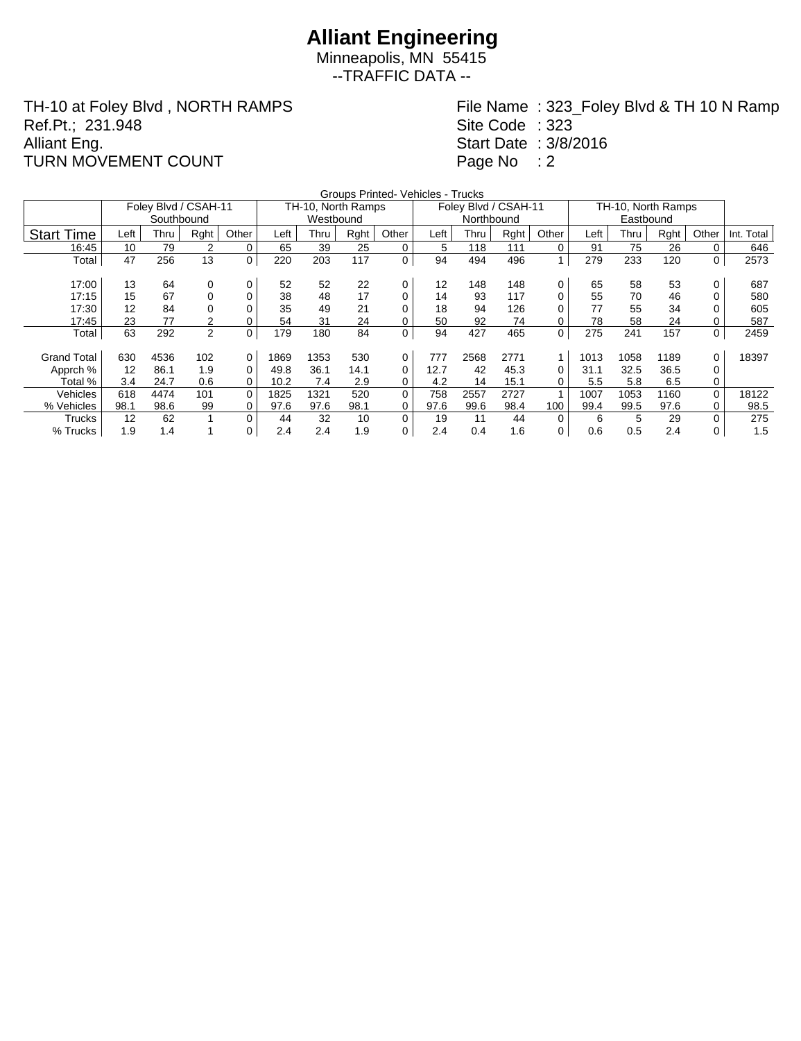Minneapolis, MN 55415 --TRAFFIC DATA --

TH-10 at Foley Blvd , NORTH RAMPS Ref.Pt.; 231.948 Alliant Eng. TURN MOVEMENT COUNT

File Name : 323\_Foley Blvd & TH 10 N Ramp Site Code : 323 Start Date : 3/8/2016 Page No : 2

|                    | Groups Printed- Vehicles - Trucks<br>TH-10, North Ramps |                      |                |          |      |                    |      |             |      |                      |      |             |      |      |      |          |            |
|--------------------|---------------------------------------------------------|----------------------|----------------|----------|------|--------------------|------|-------------|------|----------------------|------|-------------|------|------|------|----------|------------|
|                    |                                                         | Foley Blvd / CSAH-11 |                |          |      | TH-10, North Ramps |      |             |      | Foley Blvd / CSAH-11 |      |             |      |      |      |          |            |
|                    |                                                         | Southbound           |                |          |      | Westbound          |      |             |      | Northbound           |      |             |      |      |      |          |            |
| <b>Start Time</b>  | Left                                                    | Thru                 | Rght           | Other    | Left | Thru               | Rght | Other       | Left | Thru                 | Rght | Other       | Left | Thru | Rght | Other    | Int. Total |
| 16:45              | 10                                                      | 79                   | $\overline{2}$ | 0        | 65   | 39                 | 25   | 0           | 5    | 118                  | 111  | 0           | 91   | 75   | 26   | 0        | 646        |
| Total              | 47                                                      | 256                  | 13             | 0        | 220  | 203                | 117  | $\mathbf 0$ | 94   | 494                  | 496  | 1           | 279  | 233  | 120  | $\Omega$ | 2573       |
|                    |                                                         |                      |                |          |      |                    |      |             |      |                      |      |             |      |      |      |          |            |
| 17:00              | 13                                                      | 64                   | 0              | 0        | 52   | 52                 | 22   | 0           | 12   | 148                  | 148  | 0           | 65   | 58   | 53   | 0        | 687        |
| 17:15              | 15                                                      | 67                   | $\Omega$       | 0        | 38   | 48                 | 17   | 0           | 14   | 93                   | 117  | 0           | 55   | 70   | 46   |          | 580        |
| 17:30              | 12                                                      | 84                   | 0              |          | 35   | 49                 | 21   | 0           | 18   | 94                   | 126  |             | 77   | 55   | 34   |          | 605        |
| 17:45              | 23                                                      | 77                   | $\overline{2}$ | 0        | 54   | 31                 | 24   | 0           | 50   | 92                   | 74   | 0           | 78   | 58   | 24   |          | 587        |
| Total              | 63                                                      | 292                  | 2              | 0        | 179  | 180                | 84   | 0           | 94   | 427                  | 465  | $\mathbf 0$ | 275  | 241  | 157  | $\Omega$ | 2459       |
|                    |                                                         |                      |                |          |      |                    |      |             |      |                      |      |             |      |      |      |          |            |
| <b>Grand Total</b> | 630                                                     | 4536                 | 102            | 0        | 1869 | 1353               | 530  | 0           | 777  | 2568                 | 2771 | 1           | 1013 | 1058 | 1189 | $\Omega$ | 18397      |
| Apprch %           | 12                                                      | 86.1                 | 1.9            | 0        | 49.8 | 36.1               | 14.1 | 0           | 12.7 | 42                   | 45.3 | 0           | 31.1 | 32.5 | 36.5 | 0        |            |
| Total %            | 3.4                                                     | 24.7                 | 0.6            | 0        | 10.2 | 7.4                | 2.9  | 0           | 4.2  | 14                   | 15.1 | 0           | 5.5  | 5.8  | 6.5  | 0        |            |
| Vehicles           | 618                                                     | 4474                 | 101            | $\Omega$ | 1825 | 1321               | 520  | 0           | 758  | 2557                 | 2727 |             | 1007 | 1053 | 1160 | $\Omega$ | 18122      |
| % Vehicles         | 98.1                                                    | 98.6                 | 99             | 0        | 97.6 | 97.6               | 98.1 | 0           | 97.6 | 99.6                 | 98.4 | 100         | 99.4 | 99.5 | 97.6 | 0        | 98.5       |
| Trucks             | 12                                                      | 62                   |                | $\Omega$ | 44   | 32                 | 10   | 0           | 19   | 11                   | 44   | 0           | 6    | 5    | 29   | 0        | 275        |
| % Trucks           | 1.9                                                     | 1.4                  |                | 0        | 2.4  | 2.4                | 1.9  | 0           | 2.4  | 0.4                  | 1.6  | 0           | 0.6  | 0.5  | 2.4  | 0        | 1.5        |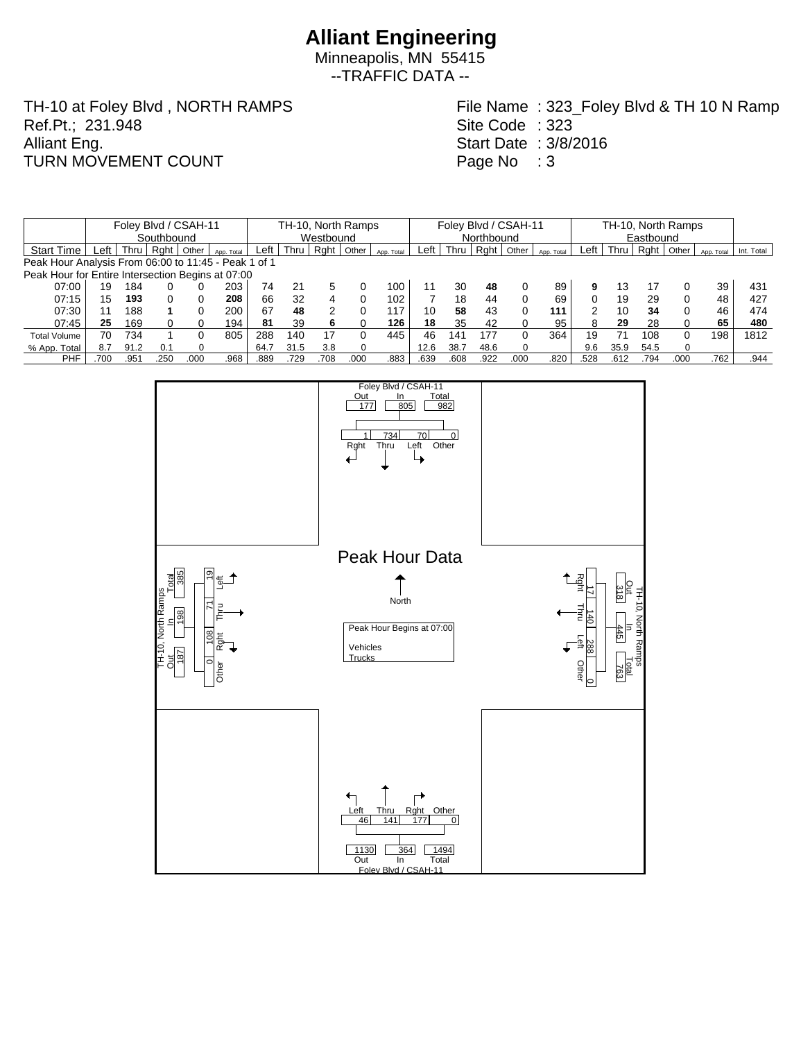Minneapolis, MN 55415 --TRAFFIC DATA --

TH-10 at Foley Blvd , NORTH RAMPS Ref.Pt.; 231.948 Alliant Eng. TURN MOVEMENT COUNT

File Name : 323\_Foley Blvd & TH 10 N Ramp Site Code : 323 Start Date : 3/8/2016 Page No : 3

|                                                      |            | Foley Blvd / CSAH-11 |      |       |            | TH-10, North Ramps |           |      |          |            |      | Foley Blvd / CSAH-11 |      |       |            |      |      | TH-10, North Ramps |       |            |            |  |  |
|------------------------------------------------------|------------|----------------------|------|-------|------------|--------------------|-----------|------|----------|------------|------|----------------------|------|-------|------------|------|------|--------------------|-------|------------|------------|--|--|
|                                                      | Southbound |                      |      |       |            |                    | Westbound |      |          |            |      | Northbound           |      |       |            |      |      | Eastbound          |       |            |            |  |  |
| <b>Start Time</b>                                    | Left       | Thru l               | Raht | Other | App. Total | Left               | Thru      | Rght | Other    | App. Total | Left | Thru                 | Raht | Other | App. Total | Left | Thru | Rght               | Other | App. Total | Int. Total |  |  |
| Peak Hour Analysis From 06:00 to 11:45 - Peak 1 of 1 |            |                      |      |       |            |                    |           |      |          |            |      |                      |      |       |            |      |      |                    |       |            |            |  |  |
| Peak Hour for Entire Intersection Begins at 07:00    |            |                      |      |       |            |                    |           |      |          |            |      |                      |      |       |            |      |      |                    |       |            |            |  |  |
| 07:00                                                | 19         | 184                  |      |       | 203        | 74                 | 21        |      |          | 100        | 11   | 30                   | 48   |       | 89         | 9    | 13   | 17                 |       | 39         | 431        |  |  |
| 07:15                                                | 15         | 193                  | 0    |       | 208        | 66                 | 32        |      |          | 102        |      | 18                   | 44   | 0     | 69         |      | 19   | 29                 | 0     | 48         | 427        |  |  |
| 07:30                                                | 11         | 188                  |      |       | 200        | 67                 | 48        |      |          | 117        | 10   | 58                   | 43   | 0     | 111        |      | 10   | 34                 | 0     | 46         | 474        |  |  |
| 07:45                                                | 25         | 169                  |      |       | 194        | 81                 | 39        |      |          | 126        | 18   | 35                   | 42   |       | 95         |      | 29   | 28                 |       | 65         | 480        |  |  |
| <b>Total Volume</b>                                  | 70         | 734                  |      |       | 805        | 288                | 140       | 17   |          | 445        | 46   | 141                  | 177  | 0     | 364        | 19   |      | 108                | 0     | 198        | 1812       |  |  |
| % App. Total                                         | 8.7        | 91.2                 | 0.1  |       |            | 64.7               | 31.5      | 3.8  | $\Omega$ |            | 12.6 | 38.7                 | 48.6 | 0     |            | 9.6  | 35.9 | 54.5               |       |            |            |  |  |
| PHF                                                  | 700        | .951                 | .250 | .00C  | .968       | .889               | 729       | .708 | .000     | .883       | .639 | .608                 | .922 | .000  | .820       | .528 | .612 | .794               | .000  | .762       | .944       |  |  |